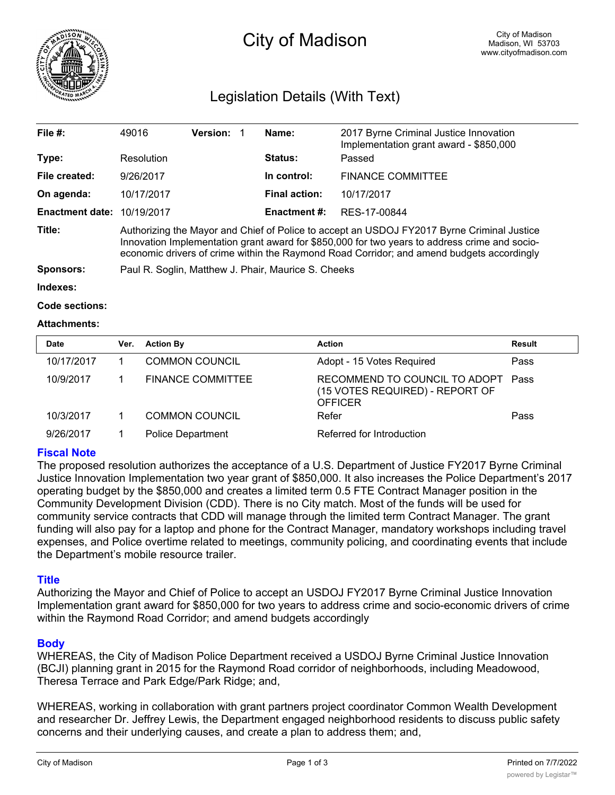

# City of Madison

# Legislation Details (With Text)

| File $#$ :             | 49016                                                                                                                                                                                                                                                                                    | <b>Version:</b> | Name:                | 2017 Byrne Criminal Justice Innovation<br>Implementation grant award - \$850,000 |  |
|------------------------|------------------------------------------------------------------------------------------------------------------------------------------------------------------------------------------------------------------------------------------------------------------------------------------|-----------------|----------------------|----------------------------------------------------------------------------------|--|
| Type:                  | Resolution                                                                                                                                                                                                                                                                               |                 | <b>Status:</b>       | Passed                                                                           |  |
| File created:          | 9/26/2017                                                                                                                                                                                                                                                                                |                 | In control:          | <b>FINANCE COMMITTEE</b>                                                         |  |
| On agenda:             | 10/17/2017                                                                                                                                                                                                                                                                               |                 | <b>Final action:</b> | 10/17/2017                                                                       |  |
| <b>Enactment date:</b> | 10/19/2017                                                                                                                                                                                                                                                                               |                 | Enactment #:         | RES-17-00844                                                                     |  |
| Title:                 | Authorizing the Mayor and Chief of Police to accept an USDOJ FY2017 Byrne Criminal Justice<br>Innovation Implementation grant award for \$850,000 for two years to address crime and socio-<br>economic drivers of crime within the Raymond Road Corridor; and amend budgets accordingly |                 |                      |                                                                                  |  |
| <b>Sponsors:</b>       | Paul R. Soglin, Matthew J. Phair, Maurice S. Cheeks                                                                                                                                                                                                                                      |                 |                      |                                                                                  |  |
| Indexes:               |                                                                                                                                                                                                                                                                                          |                 |                      |                                                                                  |  |

```
Code sections:
```
#### **Attachments:**

| <b>Date</b> | Ver. | <b>Action By</b>         | <b>Action</b>                                                                      | <b>Result</b> |
|-------------|------|--------------------------|------------------------------------------------------------------------------------|---------------|
| 10/17/2017  |      | <b>COMMON COUNCIL</b>    | Adopt - 15 Votes Required                                                          | Pass          |
| 10/9/2017   |      | <b>FINANCE COMMITTEE</b> | RECOMMEND TO COUNCIL TO ADOPT<br>(15 VOTES REQUIRED) - REPORT OF<br><b>OFFICER</b> | Pass          |
| 10/3/2017   |      | <b>COMMON COUNCIL</b>    | Refer                                                                              | Pass          |
| 9/26/2017   |      | <b>Police Department</b> | Referred for Introduction                                                          |               |

## **Fiscal Note**

The proposed resolution authorizes the acceptance of a U.S. Department of Justice FY2017 Byrne Criminal Justice Innovation Implementation two year grant of \$850,000. It also increases the Police Department's 2017 operating budget by the \$850,000 and creates a limited term 0.5 FTE Contract Manager position in the Community Development Division (CDD). There is no City match. Most of the funds will be used for community service contracts that CDD will manage through the limited term Contract Manager. The grant funding will also pay for a laptop and phone for the Contract Manager, mandatory workshops including travel expenses, and Police overtime related to meetings, community policing, and coordinating events that include the Department's mobile resource trailer.

## **Title**

Authorizing the Mayor and Chief of Police to accept an USDOJ FY2017 Byrne Criminal Justice Innovation Implementation grant award for \$850,000 for two years to address crime and socio-economic drivers of crime within the Raymond Road Corridor; and amend budgets accordingly

## **Body**

WHEREAS, the City of Madison Police Department received a USDOJ Byrne Criminal Justice Innovation (BCJI) planning grant in 2015 for the Raymond Road corridor of neighborhoods, including Meadowood, Theresa Terrace and Park Edge/Park Ridge; and,

WHEREAS, working in collaboration with grant partners project coordinator Common Wealth Development and researcher Dr. Jeffrey Lewis, the Department engaged neighborhood residents to discuss public safety concerns and their underlying causes, and create a plan to address them; and,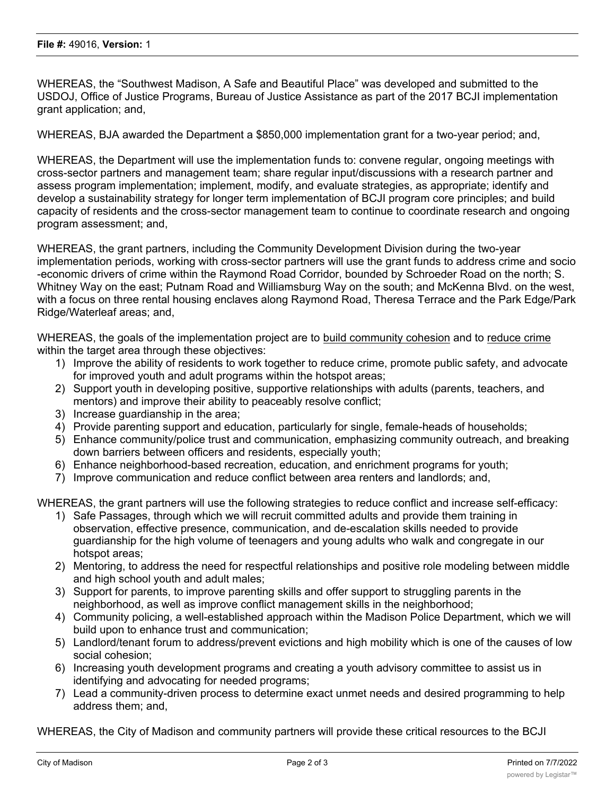WHEREAS, the "Southwest Madison, A Safe and Beautiful Place" was developed and submitted to the USDOJ, Office of Justice Programs, Bureau of Justice Assistance as part of the 2017 BCJI implementation grant application; and,

WHEREAS, BJA awarded the Department a \$850,000 implementation grant for a two-year period; and,

WHEREAS, the Department will use the implementation funds to: convene regular, ongoing meetings with cross-sector partners and management team; share regular input/discussions with a research partner and assess program implementation; implement, modify, and evaluate strategies, as appropriate; identify and develop a sustainability strategy for longer term implementation of BCJI program core principles; and build capacity of residents and the cross-sector management team to continue to coordinate research and ongoing program assessment; and,

WHEREAS, the grant partners, including the Community Development Division during the two-year implementation periods, working with cross-sector partners will use the grant funds to address crime and socio -economic drivers of crime within the Raymond Road Corridor, bounded by Schroeder Road on the north; S. Whitney Way on the east; Putnam Road and Williamsburg Way on the south; and McKenna Blvd. on the west, with a focus on three rental housing enclaves along Raymond Road, Theresa Terrace and the Park Edge/Park Ridge/Waterleaf areas; and,

WHEREAS, the goals of the implementation project are to build community cohesion and to reduce crime within the target area through these objectives:

- 1) Improve the ability of residents to work together to reduce crime, promote public safety, and advocate for improved youth and adult programs within the hotspot areas;
- 2) Support youth in developing positive, supportive relationships with adults (parents, teachers, and mentors) and improve their ability to peaceably resolve conflict;
- 3) Increase guardianship in the area;
- 4) Provide parenting support and education, particularly for single, female-heads of households;
- 5) Enhance community/police trust and communication, emphasizing community outreach, and breaking down barriers between officers and residents, especially youth;
- 6) Enhance neighborhood-based recreation, education, and enrichment programs for youth;
- 7) Improve communication and reduce conflict between area renters and landlords; and,

WHEREAS, the grant partners will use the following strategies to reduce conflict and increase self-efficacy:

- 1) Safe Passages, through which we will recruit committed adults and provide them training in observation, effective presence, communication, and de-escalation skills needed to provide guardianship for the high volume of teenagers and young adults who walk and congregate in our hotspot areas;
- 2) Mentoring, to address the need for respectful relationships and positive role modeling between middle and high school youth and adult males;
- 3) Support for parents, to improve parenting skills and offer support to struggling parents in the neighborhood, as well as improve conflict management skills in the neighborhood;
- 4) Community policing, a well-established approach within the Madison Police Department, which we will build upon to enhance trust and communication;
- 5) Landlord/tenant forum to address/prevent evictions and high mobility which is one of the causes of low social cohesion;
- 6) Increasing youth development programs and creating a youth advisory committee to assist us in identifying and advocating for needed programs;
- 7) Lead a community-driven process to determine exact unmet needs and desired programming to help address them; and,

WHEREAS, the City of Madison and community partners will provide these critical resources to the BCJI